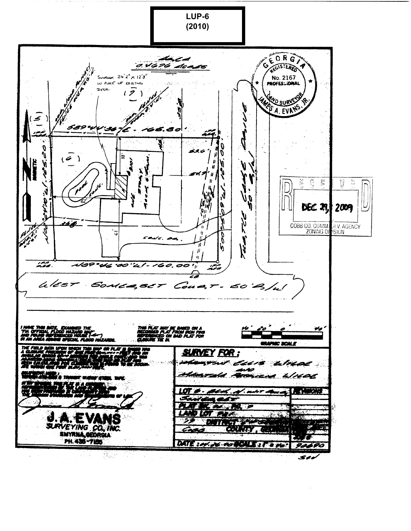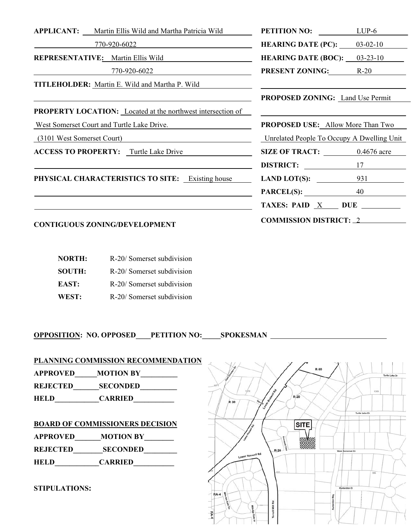|                                                         | <b>APPLICANT:</b> Martin Ellis Wild and Martha Patricia Wild       | <b>PETITION NO:</b> LUP-6                  |     |
|---------------------------------------------------------|--------------------------------------------------------------------|--------------------------------------------|-----|
|                                                         | 770-920-6022                                                       | <b>HEARING DATE (PC):</b> $03-02-10$       |     |
|                                                         | <b>REPRESENTATIVE:</b> Martin Ellis Wild                           | <b>HEARING DATE (BOC):</b> $03-23-10$      |     |
|                                                         | 770-920-6022                                                       | <b>PRESENT ZONING:</b> R-20                |     |
|                                                         | <b>TITLEHOLDER:</b> Martin E. Wild and Martha P. Wild              |                                            |     |
|                                                         |                                                                    | <b>PROPOSED ZONING:</b> Land Use Permit    |     |
|                                                         | <b>PROPERTY LOCATION:</b> Located at the northwest intersection of |                                            |     |
| West Somerset Court and Turtle Lake Drive.              |                                                                    | <b>PROPOSED USE:</b> Allow More Than Two   |     |
| (3101 West Somerset Court)                              |                                                                    | Unrelated People To Occupy A Dwelling Unit |     |
|                                                         | <b>ACCESS TO PROPERTY:</b> Turtle Lake Drive                       | SIZE OF TRACT: 0.4676 acre                 |     |
|                                                         |                                                                    | DISTRICT:                                  | 17  |
| <b>PHYSICAL CHARACTERISTICS TO SITE:</b> Existing house |                                                                    | LAND LOT $(S)$ :                           | 931 |
|                                                         |                                                                    | <b>PARCEL(S):</b>                          | 40  |
|                                                         |                                                                    | TAXES: PAID $X$ DUE $\_\_$                 |     |
|                                                         |                                                                    | COMMISSION DISTRICT $\cdot$ 2              |     |

# **CONTIGUOUS ZONING/DEVELOPMENT COMMISSION DISTRICT:** <sup>2</sup>

| <b>NORTH:</b> | R-20/ Somerset subdivision |
|---------------|----------------------------|
| <b>SOUTH:</b> | R-20/ Somerset subdivision |
| EAST:         | R-20/ Somerset subdivision |
| WEST:         | R-20/ Somerset subdivision |

**OPPOSITION: NO. OPPOSED\_\_\_\_PETITION NO:\_\_\_\_\_SPOKESMAN** 

#### **PLANNING COMMISSION RECOMMENDATION**

**APPROVED\_\_\_\_\_\_MOTION BY\_\_\_\_\_\_\_\_\_\_** 

**REJECTED\_\_\_\_\_\_\_SECONDED\_\_\_\_\_\_\_\_\_\_** 

**HELD\_\_\_\_\_\_\_\_\_\_\_\_CARRIED\_\_\_\_\_\_\_\_\_\_\_** 

#### **BOARD OF COMMISSIONERS DECISION**

| <b>APPROVED</b> | <b>MOTION BY</b> |
|-----------------|------------------|
| <b>REJECTED</b> | <b>SECONDED</b>  |
| <b>HELD</b>     | <b>CARRIED</b>   |

**STIPULATIONS:**

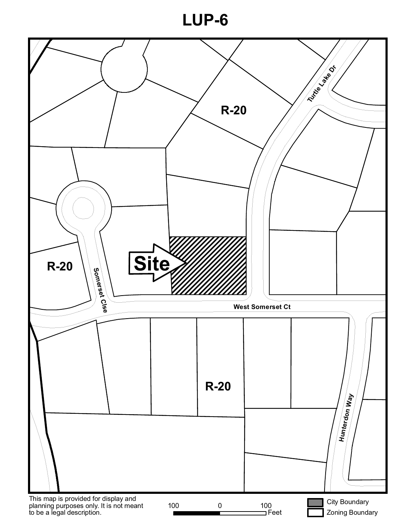**LUP-6**

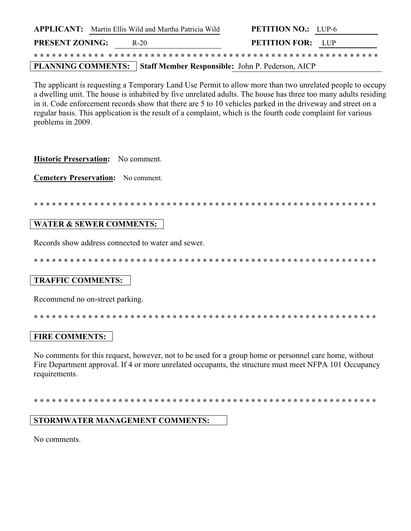|                        | <b>APPLICANT:</b> Martin Ellis Wild and Martha Patricia Wild | <b>PETITION NO.:</b> LUP-6                                          |  |
|------------------------|--------------------------------------------------------------|---------------------------------------------------------------------|--|
| <b>PRESENT ZONING:</b> | R-20                                                         | <b>PETITION FOR:</b> LUP                                            |  |
|                        |                                                              |                                                                     |  |
|                        |                                                              | PLANNING COMMENTS: Staff Member Responsible: John P. Pederson, AICP |  |

The applicant is requesting a Temporary Land Use Permit to allow more than two unrelated people to occupy a dwelling unit. The house is inhabited by five unrelated adults. The house has three too many adults residing in it. Code enforcement records show that there are 5 to 10 vehicles parked in the driveway and street on a regular basis. This application is the result of a complaint, which is the fourth code complaint for various problems in 2009.

Historic Preservation: No comment.

**Cemetery Preservation:** No comment.

#### **WATER & SEWER COMMENTS:**

Records show address connected to water and sewer.

## **TRAFFIC COMMENTS:**

Recommend no on-street parking.

## **FIRE COMMENTS:**

No comments for this request, however, not to be used for a group home or personnel care home, without Fire Department approval. If 4 or more unrelated occupants, the structure must meet NFPA 101 Occupancy requirements.

## **STORMWATER MANAGEMENT COMMENTS:**

No comments.